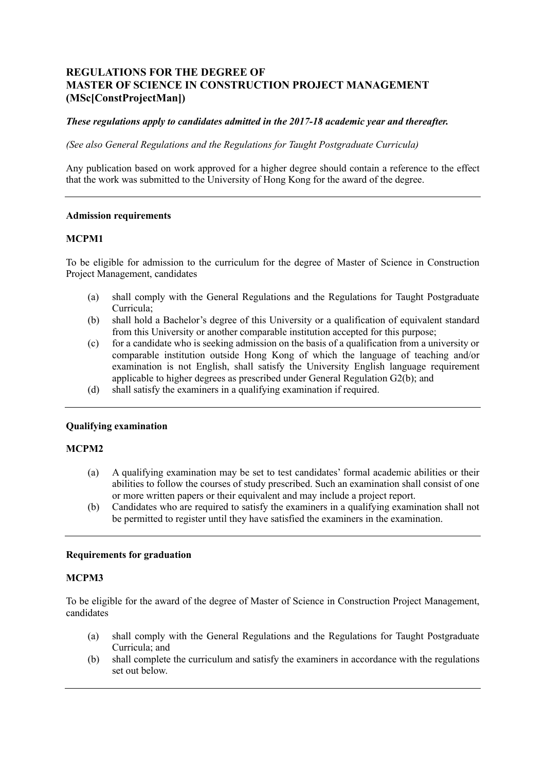# **REGULATIONS FOR THE DEGREE OF MASTER OF SCIENCE IN CONSTRUCTION PROJECT MANAGEMENT (MSc[ConstProjectMan])**

# *These regulations apply to candidates admitted in the 2017-18 academic year and thereafter.*

 *(See also General Regulations and the Regulations for Taught Postgraduate Curricula)* 

 Any publication based on work approved for a higher degree should contain a reference to the effect that the work was submitted to the University of Hong Kong for the award of the degree.

### **Admission requirements**

### **MCPM1**

 To be eligible for admission to the curriculum for the degree of Master of Science in Construction Project Management, candidates

- (a) shall comply with the General Regulations and the Regulations for Taught Postgraduate Curricula;
- (b) shall hold a Bachelor's degree of this University or a qualification of equivalent standard from this University or another comparable institution accepted for this purpose;
- (c) for a candidate who is seeking admission on the basis of a qualification from a university or examination is not English, shall satisfy the University English language requirement applicable to higher degrees as prescribed under General Regulation G2(b); and comparable institution outside Hong Kong of which the language of teaching and/or
- (d) shall satisfy the examiners in a qualifying examination if required.

### **Qualifying examination**

### **MCPM2**

- (a) A qualifying examination may be set to test candidates' formal academic abilities or their abilities to follow the courses of study prescribed. Such an examination shall consist of one or more written papers or their equivalent and may include a project report.
- (b) Candidates who are required to satisfy the examiners in a qualifying examination shall not be permitted to register until they have satisfied the examiners in the examination.

### **Requirements for graduation**

### **MCPM3**

 To be eligible for the award of the degree of Master of Science in Construction Project Management, candidates

- (a) shall comply with the General Regulations and the Regulations for Taught Postgraduate Curricula; and
- (b) shall complete the curriculum and satisfy the examiners in accordance with the regulations set out below.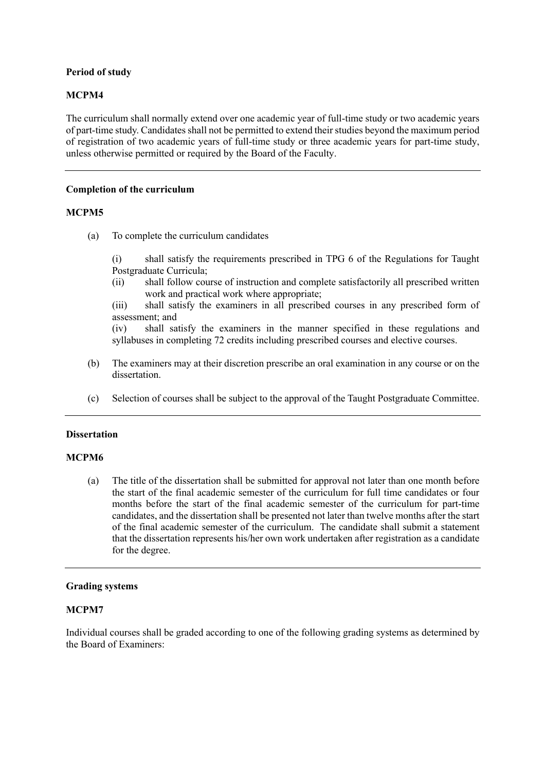# **Period of study**

# **MCPM4**

 The curriculum shall normally extend over one academic year of full-time study or two academic years of part-time study. Candidates shall not be permitted to extend their studies beyond the maximum period of registration of two academic years of full-time study or three academic years for part-time study, unless otherwise permitted or required by the Board of the Faculty.

### **Completion of the curriculum**

# **MCPM5**

(a) To complete the curriculum candidates

 (i) shall satisfy the requirements prescribed in TPG 6 of the Regulations for Taught Postgraduate Curricula;

 (ii) shall follow course of instruction and complete satisfactorily all prescribed written work and practical work where appropriate;

 (iii) shall satisfy the examiners in all prescribed courses in any prescribed form of assessment; and

syllabuses in completing 72 credits including prescribed courses and elective courses. (iv) shall satisfy the examiners in the manner specified in these regulations and

- syllabuses in completing 72 credits including prescribed courses and elective courses.<br>(b) The examiners may at their discretion prescribe an oral examination in any course or on the dissertation.
- (c) Selection of courses shall be subject to the approval of the Taught Postgraduate Committee.

### **Dissertation**

# **MCPM6**

 (a) The title of the dissertation shall be submitted for approval not later than one month before the start of the final academic semester of the curriculum for full time candidates or four months before the start of the final academic semester of the curriculum for part-time candidates, and the dissertation shall be presented not later than twelve months after the start of the final academic semester of the curriculum. The candidate shall submit a statement that the dissertation represents his/her own work undertaken after registration as a candidate for the degree.

### **Grading systems**

### **MCPM7**

 Individual courses shall be graded according to one of the following grading systems as determined by the Board of Examiners: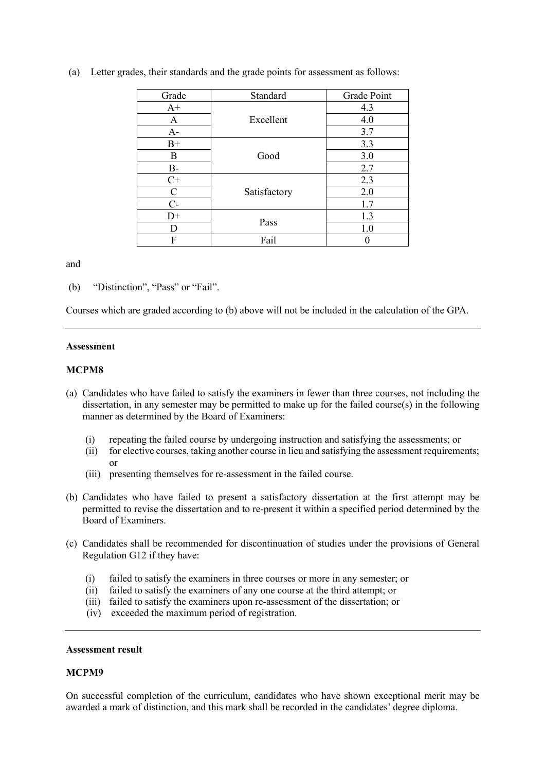| Grade         | Standard     | Grade Point |
|---------------|--------------|-------------|
| $A+$          | Excellent    | 4.3         |
| A             |              | 4.0         |
| $A-$          |              | 3.7         |
| $B+$          | Good         | 3.3         |
| B             |              | 3.0         |
| $B-$          |              | 2.7         |
| $C+$          | Satisfactory | 2.3         |
| $\mathcal{C}$ |              | 2.0         |
| $C-$          |              | 1.7         |
| $D+$          | Pass         | 1.3         |
| D             |              | 1.0         |
| F             | Fail         |             |

(a) Letter grades, their standards and the grade points for assessment as follows:

and

(b) "Distinction", "Pass" or "Fail".

Courses which are graded according to (b) above will not be included in the calculation of the GPA.

### **Assessment**

### **MCPM8**

- (a) Candidates who have failed to satisfy the examiners in fewer than three courses, not including the manner as determined by the Board of Examiners: dissertation, in any semester may be permitted to make up for the failed course(s) in the following
	- (i) repeating the failed course by undergoing instruction and satisfying the assessments; or
	- (ii) for elective courses, taking another course in lieu and satisfying the assessment requirements; or
	- (iii) presenting themselves for re-assessment in the failed course.
- (b) Candidates who have failed to present a satisfactory dissertation at the first attempt may be permitted to revise the dissertation and to re-present it within a specified period determined by the Board of Examiners.
- (c) Candidates shall be recommended for discontinuation of studies under the provisions of General Regulation G12 if they have:
	- (i) failed to satisfy the examiners in three courses or more in any semester; or
	- (ii) failed to satisfy the examiners of any one course at the third attempt; or
	- (iii) failed to satisfy the examiners upon re-assessment of the dissertation; or
	- (iv) exceeded the maximum period of registration.

### **Assessment result**

# **MCPM9**

 On successful completion of the curriculum, candidates who have shown exceptional merit may be awarded a mark of distinction, and this mark shall be recorded in the candidates' degree diploma.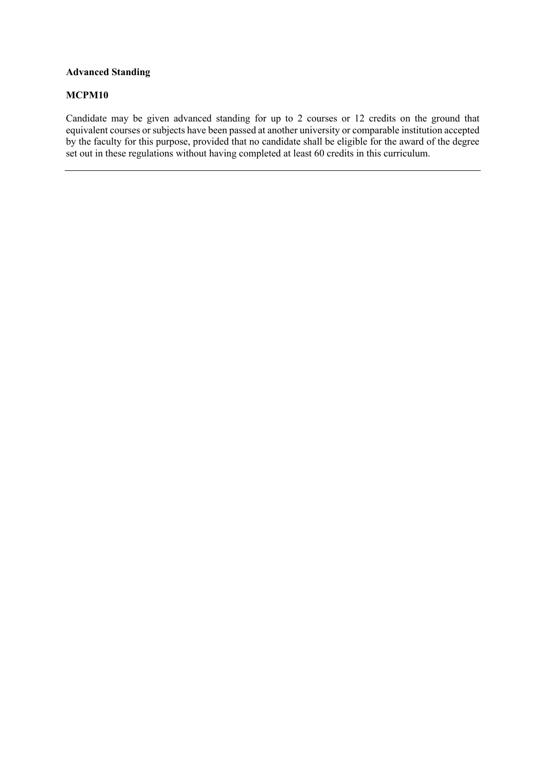# **Advanced Standing**

### **MCPM10**

 Candidate may be given advanced standing for up to 2 courses or 12 credits on the ground that  $\overline{a}$ í equivalent courses or subjects have been passed at another university or comparable institution accepted by the faculty for this purpose, provided that no candidate shall be eligible for the award of the degree set out in these regulations without having completed at least 60 credits in this curriculum.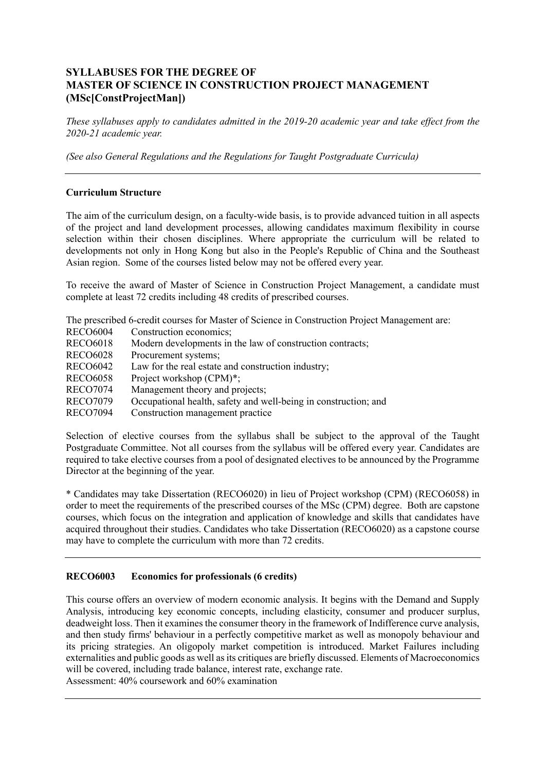# **SYLLABUSES FOR THE DEGREE OF MASTER OF SCIENCE IN CONSTRUCTION PROJECT MANAGEMENT (MSc[ConstProjectMan])**

 *These syllabuses apply to candidates admitted in the 2019-20 academic year and take effect from the*  2020-21 academic vear.

2020-21 academic year.<br>(See also General Regulations and the Regulations for Taught Postgraduate Curricula)

# **Curriculum Structure**

 The aim of the curriculum design, on a faculty-wide basis, is to provide advanced tuition in all aspects of the project and land development processes, allowing candidates maximum flexibility in course selection within their chosen disciplines. Where appropriate the curriculum will be related to developments not only in Hong Kong but also in the People's Republic of China and the Southeast Asian region. Some of the courses listed below may not be offered every year.

 To receive the award of Master of Science in Construction Project Management, a candidate must complete at least 72 credits including 48 credits of prescribed courses.

The prescribed 6-credit courses for Master of Science in Construction Project Management are:

| <b>RECO6004</b> | Construction economics;                                         |
|-----------------|-----------------------------------------------------------------|
| <b>RECO6018</b> | Modern developments in the law of construction contracts;       |
| <b>RECO6028</b> | Procurement systems;                                            |
| <b>RECO6042</b> | Law for the real estate and construction industry;              |
| <b>RECO6058</b> | Project workshop (CPM)*;                                        |
| <b>RECO7074</b> | Management theory and projects;                                 |
| <b>RECO7079</b> | Occupational health, safety and well-being in construction; and |
| <b>RECO7094</b> | Construction management practice                                |

 Selection of elective courses from the syllabus shall be subject to the approval of the Taught Postgraduate Committee. Not all courses from the syllabus will be offered every year. Candidates are required to take elective courses from a pool of designated electives to be announced by the Programme Director at the beginning of the year.

 \* Candidates may take Dissertation (RECO6020) in lieu of Project workshop (CPM) (RECO6058) in order to meet the requirements of the prescribed courses of the MSc (CPM) degree. Both are capstone courses, which focus on the integration and application of knowledge and skills that candidates have acquired throughout their studies. Candidates who take Dissertation (RECO6020) as a capstone course may have to complete the curriculum with more than 72 credits.

#### **RECO6003** Economics for professionals (6 credits)

 This course offers an overview of modern economic analysis. It begins with the Demand and Supply Analysis, introducing key economic concepts, including elasticity, consumer and producer surplus, deadweight loss. Then it examines the consumer theory in the framework of Indifference curve analysis, and then study firms' behaviour in a perfectly competitive market as well as monopoly behaviour and externalities and public goods as well as its critiques are briefly discussed. Elements of Macroeconomics will be covered, including trade balance, interest rate, exchange rate. its pricing strategies. An oligopoly market competition is introduced. Market Failures including

Assessment: 40% coursework and 60% examination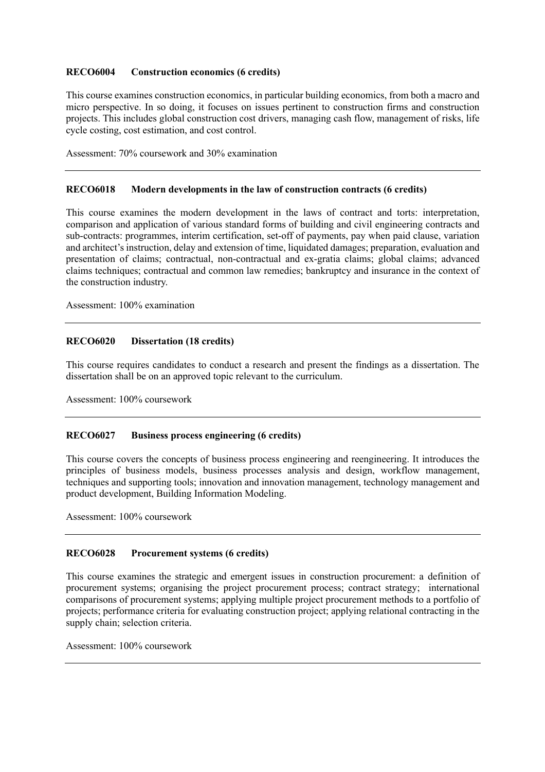#### **RECO6004 Construction economics (6 credits)**

 This course examines construction economics, in particular building economics, from both a macro and micro perspective. In so doing, it focuses on issues pertinent to construction firms and construction projects. This includes global construction cost drivers, managing cash flow, management of risks, life cycle costing, cost estimation, and cost control.

Assessment: 70% coursework and 30% examination

#### **RECO6018 Modern developments in the law of construction contracts (6 credits)**

 This course examines the modern development in the laws of contract and torts: interpretation, comparison and application of various standard forms of building and civil engineering contracts and sub-contracts: programmes, interim certification, set-off of payments, pay when paid clause, variation and architect's instruction, delay and extension of time, liquidated damages; preparation, evaluation and presentation of claims; contractual, non-contractual and ex-gratia claims; global claims; advanced claims techniques; contractual and common law remedies; bankruptcy and insurance in the context of the construction industry.

Assessment: 100% examination

#### **RECO6020 Dissertation (18 credits)**

 This course requires candidates to conduct a research and present the findings as a dissertation. The dissertation shall be on an approved topic relevant to the curriculum.

Assessment: 100% coursework

#### **RECO6027** Business process engineering (6 credits)

 This course covers the concepts of business process engineering and reengineering. It introduces the principles of business models, business processes analysis and design, workflow management, techniques and supporting tools; innovation and innovation management, technology management and product development, Building Information Modeling.

Assessment: 100% coursework

#### Procurement systems (6 credits)

 This course examines the strategic and emergent issues in construction procurement: a definition of procurement systems; organising the project procurement process; contract strategy; international comparisons of procurement systems; applying multiple project procurement methods to a portfolio of projects; performance criteria for evaluating construction project; applying relational contracting in the supply chain; selection criteria.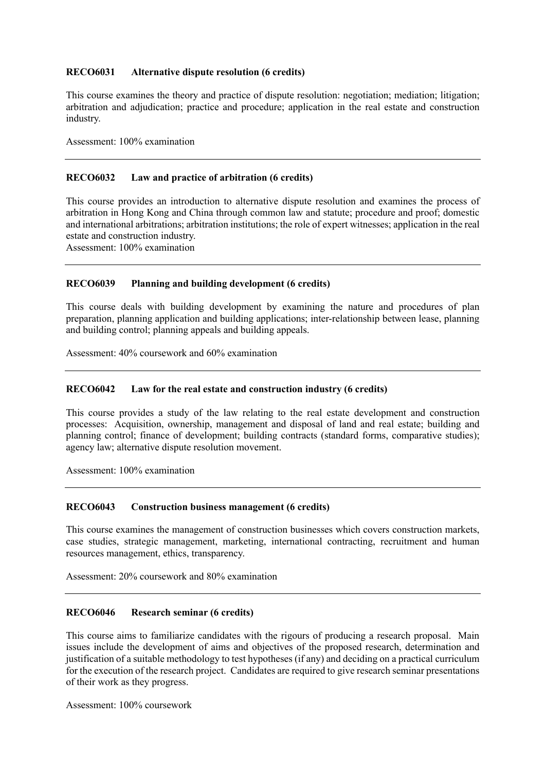#### **RECO6031** Alternative dispute resolution (6 credits)

 This course examines the theory and practice of dispute resolution: negotiation; mediation; litigation; arbitration and adjudication; practice and procedure; application in the real estate and construction industry.

Assessment: 100% examination

#### **RECO6032** Law and practice of arbitration (6 credits)

 This course provides an introduction to alternative dispute resolution and examines the process of arbitration in Hong Kong and China through common law and statute; procedure and proof; domestic and international arbitrations; arbitration institutions; the role of expert witnesses; application in the real estate and construction industry.

Assessment: 100% examination

#### **RECO6039** Planning and building development (6 credits)

 This course deals with building development by examining the nature and procedures of plan preparation, planning application and building applications; inter-relationship between lease, planning and building control; planning appeals and building appeals.

Assessment: 40% coursework and 60% examination

#### **RECO6042** Law for the real estate and construction industry (6 credits)

 This course provides a study of the law relating to the real estate development and construction processes: Acquisition, ownership, management and disposal of land and real estate; building and planning control; finance of development; building contracts (standard forms, comparative studies); agency law; alternative dispute resolution movement.

Assessment: 100% examination

#### **RECO6043 Construction business management (6 credits)**

 This course examines the management of construction businesses which covers construction markets, case studies, strategic management, marketing, international contracting, recruitment and human resources management, ethics, transparency.

Assessment: 20% coursework and 80% examination

#### **Research seminar (6 credits)**

 This course aims to familiarize candidates with the rigours of producing a research proposal. Main issues include the development of aims and objectives of the proposed research, determination and justification of a suitable methodology to test hypotheses (if any) and deciding on a practical curriculum for the execution of the research project. Candidates are required to give research seminar presentations of their work as they progress.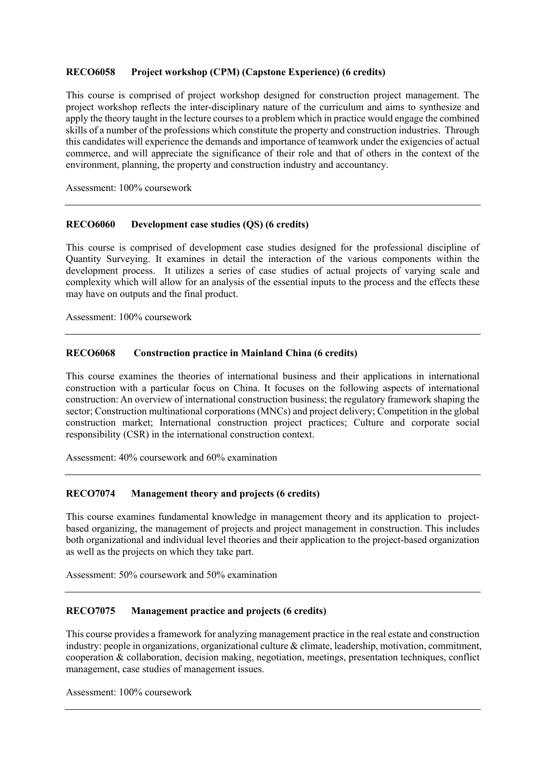#### **Project workshop (CPM) (Capstone Experience) (6 credits)**

 This course is comprised of project workshop designed for construction project management. The project workshop reflects the inter-disciplinary nature of the curriculum and aims to synthesize and apply the theory taught in the lecture courses to a problem which in practice would engage the combined skills of a number of the professions which constitute the property and construction industries. Through this candidates will experience the demands and importance of teamwork under the exigencies of actual commerce, and will appreciate the significance of their role and that of others in the context of the environment, planning, the property and construction industry and accountancy.

Assessment: 100% coursework

#### **RECO6060** Development case studies (QS) (6 credits)

 This course is comprised of development case studies designed for the professional discipline of Quantity Surveying. It examines in detail the interaction of the various components within the development process. It utilizes a series of case studies of actual projects of varying scale and complexity which will allow for an analysis of the essential inputs to the process and the effects these may have on outputs and the final product.

Assessment: 100% coursework

#### **Construction practice in Mainland China (6 credits)**

 This course examines the theories of international business and their applications in international construction with a particular focus on China. It focuses on the following aspects of international construction: An overview of international construction business; the regulatory framework shaping the sector; Construction multinational corporations (MNCs) and project delivery; Competition in the global construction market; International construction project practices; Culture and corporate social responsibility (CSR) in the international construction context.

Assessment: 40% coursework and 60% examination

#### **RECO7074 Management theory and projects (6 credits)**

 based organizing, the management of projects and project management in construction. This includes both organizational and individual level theories and their application to the project-based organization as well as the projects on which they take part. This course examines fundamental knowledge in management theory and its application to project-

Assessment: 50% coursework and 50% examination

#### **RECO7075 Management practice and projects (6 credits)**

 This course provides a framework for analyzing management practice in the real estate and construction industry: people in organizations, organizational culture & climate, leadership, motivation, commitment, cooperation & collaboration, decision making, negotiation, meetings, presentation techniques, conflict management, case studies of management issues.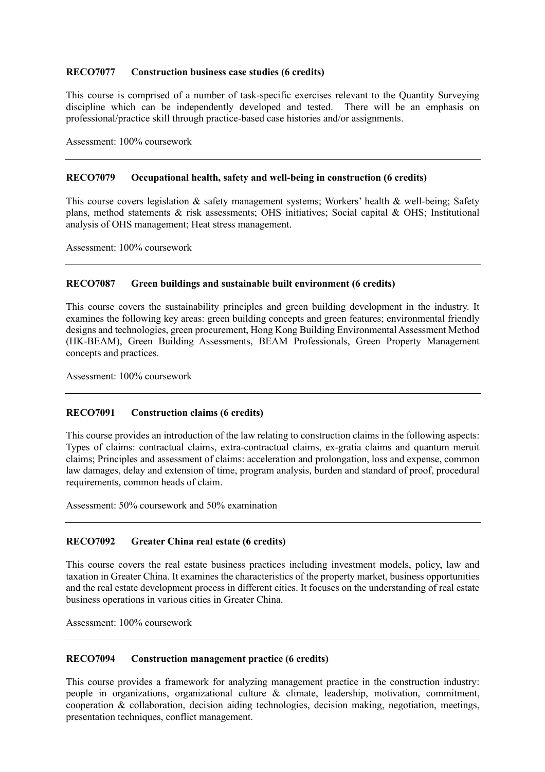#### **RECO7077 Construction business case studies (6 credits)**

 This course is comprised of a number of task-specific exercises relevant to the Quantity Surveying discipline which can be independently developed and tested. There will be an emphasis on professional/practice skill through practice-based case histories and/or assignments.

Assessment: 100% coursework

#### **RECO7079 Occupational health, safety and well-being in construction (6 credits)**

This course covers legislation & safety management systems; Workers' health & well-being; Safety plans, method statements & risk assessments; OHS initiatives; Social capital & OHS; Institutional analysis of OHS management; Heat stress management.

Assessment: 100% coursework

#### **RECO7087 Green buildings and sustainable built environment (6 credits)**

 This course covers the sustainability principles and green building development in the industry. It designs and technologies, green procurement, Hong Kong Building Environmental Assessment Method (HK-BEAM), Green Building Assessments, BEAM Professionals, Green Property Management examines the following key areas: green building concepts and green features; environmental friendly concepts and practices.

Assessment: 100% coursework

#### **RECO7091 Construction claims (6 credits)**

 This course provides an introduction of the law relating to construction claims in the following aspects: Types of claims: contractual claims, extra-contractual claims, ex-gratia claims and quantum meruit claims; Principles and assessment of claims: acceleration and prolongation, loss and expense, common law damages, delay and extension of time, program analysis, burden and standard of proof, procedural requirements, common heads of claim.

Assessment: 50% coursework and 50% examination

#### **RECO7092** Greater China real estate (6 credits)

 This course covers the real estate business practices including investment models, policy, law and taxation in Greater China. It examines the characteristics of the property market, business opportunities and the real estate development process in different cities. It focuses on the understanding of real estate business operations in various cities in Greater China.

Assessment: 100% coursework

#### **RECO7094 Construction management practice (6 credits)**

 This course provides a framework for analyzing management practice in the construction industry: people in organizations, organizational culture & climate, leadership, motivation, commitment, cooperation & collaboration, decision aiding technologies, decision making, negotiation, meetings, presentation techniques, conflict management.